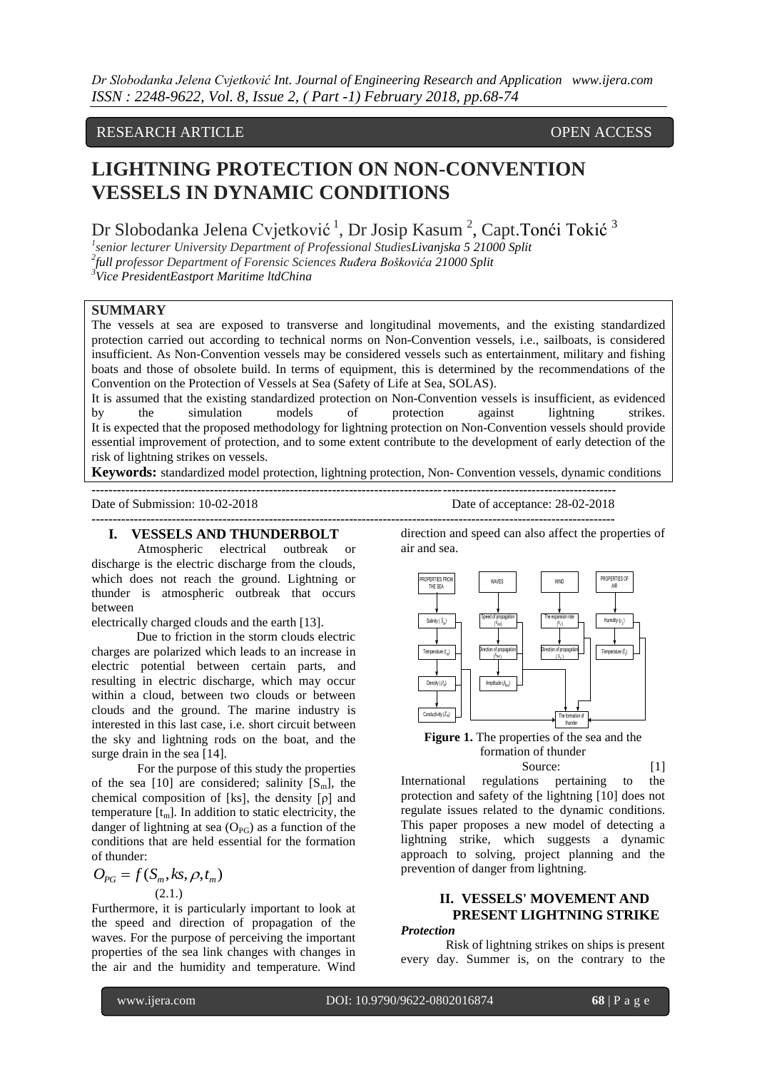# RESEARCH ARTICLE OPEN ACCESS

# **LIGHTNING PROTECTION ON NON-CONVENTION VESSELS IN DYNAMIC CONDITIONS**

Dr Slobodanka Jelena Cvjetković<sup>1</sup>, Dr Josip Kasum<sup>2</sup>, Capt.Tonći Tokić<sup>3</sup>

*1 senior lecturer University Department of Professional StudiesLivanjska 5 21000 Split 2 full professor Department of Forensic Sciences Ruđera Boškovića 21000 Split*

**----------------------------------------------------------------------------------------------------------------------------**

*<sup>3</sup>Vice PresidentEastport Maritime ltdChina*

### **SUMMARY**

The vessels at sea are exposed to transverse and longitudinal movements, and the existing standardized protection carried out according to technical norms on Non-Convention vessels, i.e., sailboats, is considered insufficient. As Non-Convention vessels may be considered vessels such as entertainment, military and fishing boats and those of obsolete build. In terms of equipment, this is determined by the recommendations of the Convention on the Protection of Vessels at Sea (Safety of Life at Sea, SOLAS).

It is assumed that the existing standardized protection on Non-Convention vessels is insufficient, as evidenced by the simulation models of protection against lightning strikes. It is expected that the proposed methodology for lightning protection on Non-Convention vessels should provide essential improvement of protection, and to some extent contribute to the development of early detection of the risk of lightning strikes on vessels.

**Keywords:** standardized model protection, lightning protection, Non- Convention vessels, dynamic conditions

**----------------------------------------------------------------------------------------------------------------------------**

Date of Submission: 10-02-2018 Date of acceptance: 28-02-2018

**I. VESSELS AND THUNDERBOLT**

Atmospheric electrical outbreak or discharge is the electric discharge from the clouds, which does not reach the ground. Lightning or thunder is atmospheric outbreak that occurs between

electrically charged clouds and the earth [13].

Due to friction in the storm clouds electric charges are polarized which leads to an increase in electric potential between certain parts, and resulting in electric discharge, which may occur within a cloud, between two clouds or between clouds and the ground. The marine industry is interested in this last case, i.e. short circuit between the sky and lightning rods on the boat, and the surge drain in the sea [14].

For the purpose of this study the properties of the sea [10] are considered; salinity  $[S_m]$ , the chemical composition of [ks], the density  $[\rho]$  and temperature  $[t_m]$ . In addition to static electricity, the danger of lightning at sea  $(O_{PG})$  as a function of the conditions that are held essential for the formation of thunder:

$$
O_{PG} = f(S_m, ks, \rho, t_m)
$$
\n(2.1.)

Furthermore, it is particularly important to look at the speed and direction of propagation of the waves. For the purpose of perceiving the important properties of the sea link changes with changes in the air and the humidity and temperature. Wind

direction and speed can also affect the properties of air and sea.



**Figure 1.** The properties of the sea and the formation of thunder

Source: [1]

International regulations pertaining to the protection and safety of the lightning [10] does not regulate issues related to the dynamic conditions. This paper proposes a new model of detecting a lightning strike, which suggests a dynamic approach to solving, project planning and the prevention of danger from lightning.

# **II. VESSELS' MOVEMENT AND PRESENT LIGHTNING STRIKE**

#### *Protection*

Risk of lightning strikes on ships is present every day. Summer is, on the contrary to the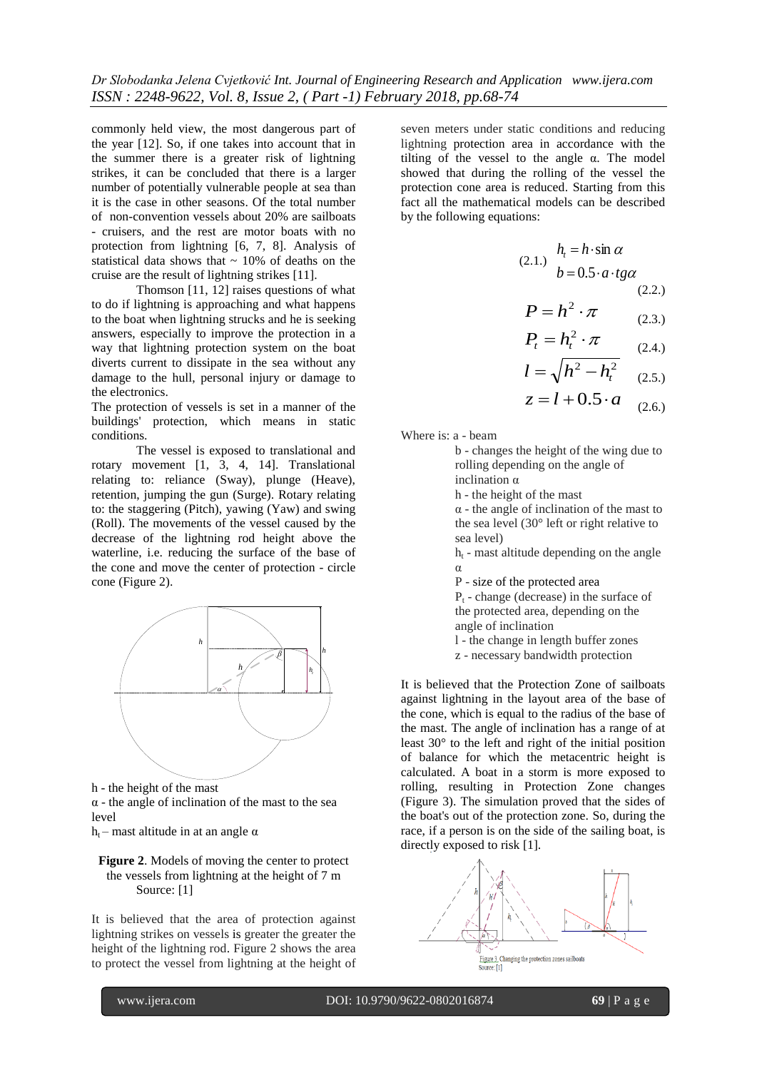commonly held view, the most dangerous part of the year [12]. So, if one takes into account that in the summer there is a greater risk of lightning strikes, it can be concluded that there is a larger number of potentially vulnerable people at sea than it is the case in other seasons. Of the total number of non-convention vessels about 20% are sailboats - cruisers, and the rest are motor boats with no protection from lightning [6, 7, 8]. Analysis of statistical data shows that  $\sim$  10% of deaths on the cruise are the result of lightning strikes [11].

Thomson [11, 12] raises questions of what to do if lightning is approaching and what happens to the boat when lightning strucks and he is seeking answers, especially to improve the protection in a way that lightning protection system on the boat diverts current to dissipate in the sea without any damage to the hull, personal injury or damage to the electronics.

The protection of vessels is set in a manner of the buildings' protection, which means in static conditions.

The vessel is exposed to translational and rotary movement [1, 3, 4, 14]. Translational relating to: reliance (Sway), plunge (Heave), retention, jumping the gun (Surge). Rotary relating to: the staggering (Pitch), yawing (Yaw) and swing (Roll). The movements of the vessel caused by the decrease of the lightning rod height above the waterline, i.e. reducing the surface of the base of the cone and move the center of protection - circle cone (Figure 2).



h - the height of the mast

 $\alpha$  - the angle of inclination of the mast to the sea level

h<sub>t</sub> – mast altitude in at an angle  $\alpha$ 

#### **Figure 2**. Models of moving the center to protect the vessels from lightning at the height of 7 m Source: [1]

It is believed that the area of protection against lightning strikes on vessels is greater the greater the height of the lightning rod. Figure 2 shows the area to protect the vessel from lightning at the height of

seven meters under static conditions and reducing lightning protection area in accordance with the tilting of the vessel to the angle  $\alpha$ . The model showed that during the rolling of the vessel the protection cone area is reduced. Starting from this fact all the mathematical models can be described by the following equations:

(2.1.) 
$$
h_t = h \cdot \sin \alpha
$$
  
\n $b = 0.5 \cdot a \cdot tg\alpha$   
\n(2.2.)  
\n $P = h^2 \cdot \pi$   
\n(2.3.)  
\n $P_t = h_t^2 \cdot \pi$   
\n(2.4.)  
\n $l = \sqrt{h^2 - h_t^2}$   
\n(2.5.)  
\n $z = l + 0.5 \cdot a$   
\n(2.6.)

Where is: a - beam

b - changes the height of the wing due to rolling depending on the angle of inclination α

h - the height of the mast

 $\alpha$  - the angle of inclination of the mast to the sea level (30° left or right relative to sea level)

 $h_t$  - mast altitude depending on the angle α

P - size of the protected area

 $P<sub>t</sub>$  - change (decrease) in the surface of the protected area, depending on the angle of inclination

l - the change in length buffer zones

 $\mathbb{Z}$   $\left( \begin{array}{ccc} \mathbb{Z} & \mathbb{Z} \\ \mathbb{Z} & \mathbb{Z} \end{array} \right)$  It is believed that the Protection Zone of sailboats against lightning in the layout area of the base of the cone, which is equal to the radius of the base of the mast. The angle of inclination has a range of at least 30° to the left and right of the initial position of balance for which the metacentric height is calculated. A boat in a storm is more exposed to rolling, resulting in Protection Zone changes (Figure 3). The simulation proved that the sides of the boat's out of the protection zone. So, during the race, if a person is on the side of the sailing boat, is directly exposed to risk [1].

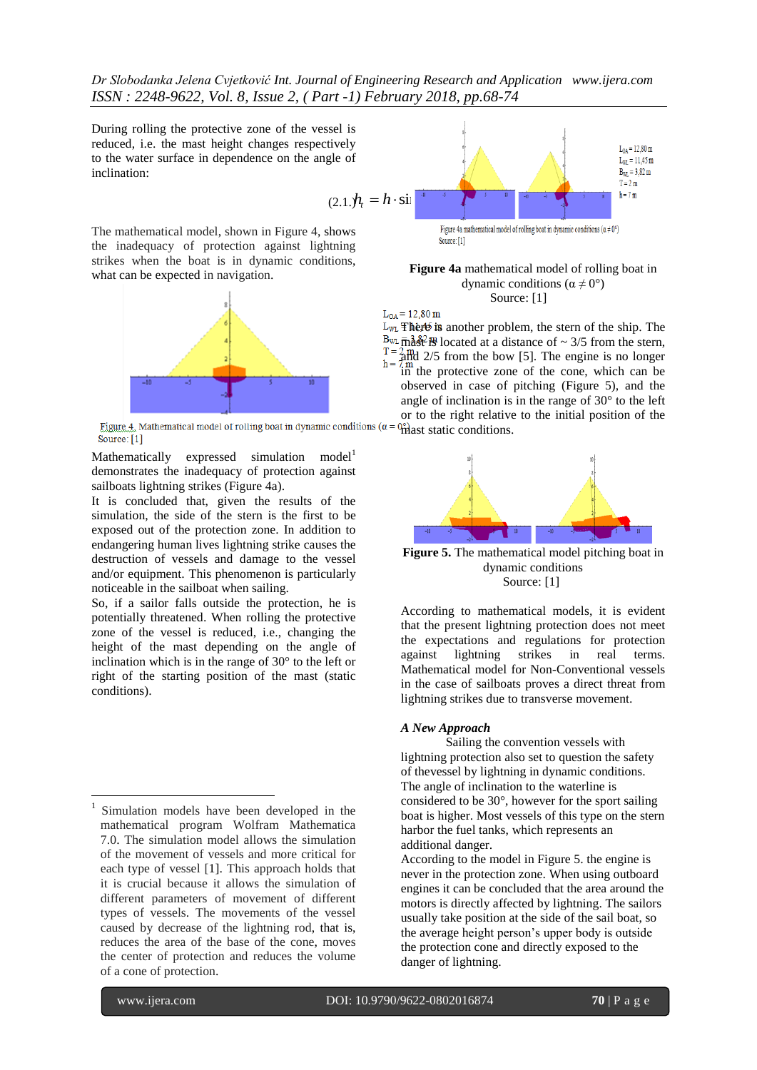*Dr Slobodanka Jelena Cvjetković Int. Journal of Engineering Research and Application www.ijera.com ISSN : 2248-9622, Vol. 8, Issue 2, ( Part -1) February 2018, pp.68-74*

During rolling the protective zone of the vessel is reduced, i.e. the mast height changes respectively to the water surface in dependence on the angle of inclination:

 $L_{WL} = 11,45 \text{ m}$  $B_{WL} = 3,82 \text{ m}$  $T = 2 m$  $(2.1)h_t = h \cdot \sin^{-40}$ 

The mathematical model, shown in Figure 4, shows the inadequacy of protection against lightning strikes when the boat is in dynamic conditions, what can be expected in navigation.



Mathematically expressed simulation  $model<sup>1</sup>$ demonstrates the inadequacy of protection against sailboats lightning strikes (Figure 4a).

It is concluded that, given the results of the simulation, the side of the stern is the first to be exposed out of the protection zone. In addition to endangering human lives lightning strike causes the destruction of vessels and damage to the vessel and/or equipment. This phenomenon is particularly noticeable in the sailboat when sailing.

So, if a sailor falls outside the protection, he is potentially threatened. When rolling the protective zone of the vessel is reduced, i.e., changing the height of the mast depending on the angle of inclination which is in the range of 30° to the left or right of the starting position of the mast (static conditions).

**Figure 4a** mathematical model of rolling boat in dynamic conditions ( $\alpha \neq 0^{\circ}$ ) Source: [1]

 $L_{0A} = 12,80 \text{ m}$ 

L<sub>WL</sub> There is another problem, the stern of the ship. The  $B_{WL}$   $\overline{m}^{3.82}_{\text{av}}$  H<sub>3</sub> located at a distance of  $\sim$  3/5 from the stern,  $T = 2 \text{ m/s}$ <br>h =  $2 \text{ m/s}$  2/5 from the bow [5]. The engine is no longer  $\lim_{h \to 0}$  the protective zone of the cone, which can be observed in case of pitching (Figure 5), and the angle of inclination is in the range of 30° to the left or to the right relative to the initial position of the  $^{0\degree}$  mast static conditions.



**Figure 5.** The mathematical model pitching boat in dynamic conditions Source: [1]

According to mathematical models, it is evident that the present lightning protection does not meet the expectations and regulations for protection against lightning strikes in real terms. Mathematical model for Non-Conventional vessels in the case of sailboats proves a direct threat from lightning strikes due to transverse movement.

#### *A New Approach*

Sailing the convention vessels with lightning protection also set to question the safety of thevessel by lightning in dynamic conditions. The angle of inclination to the waterline is considered to be 30°, however for the sport sailing boat is higher. Most vessels of this type on the stern harbor the fuel tanks, which represents an additional danger.

According to the model in Figure 5. the engine is never in the protection zone. When using outboard engines it can be concluded that the area around the motors is directly affected by lightning. The sailors usually take position at the side of the sail boat, so the average height person's upper body is outside the protection cone and directly exposed to the danger of lightning.

1

xtellectratical model, above and the specifical model is the contrast of a contrast of order is in determined model of collisions.<br>
Since the positive of a galaxy and the specific scale is in determined the specific order 1 Simulation models have been developed in the mathematical program Wolfram Mathematica 7.0. The simulation model allows the simulation of the movement of vessels and more critical for each type of vessel [1]. This approach holds that it is crucial because it allows the simulation of different parameters of movement of different types of vessels. The movements of the vessel caused by decrease of the lightning rod, that is, reduces the area of the base of the cone, moves the center of protection and reduces the volume of a cone of protection.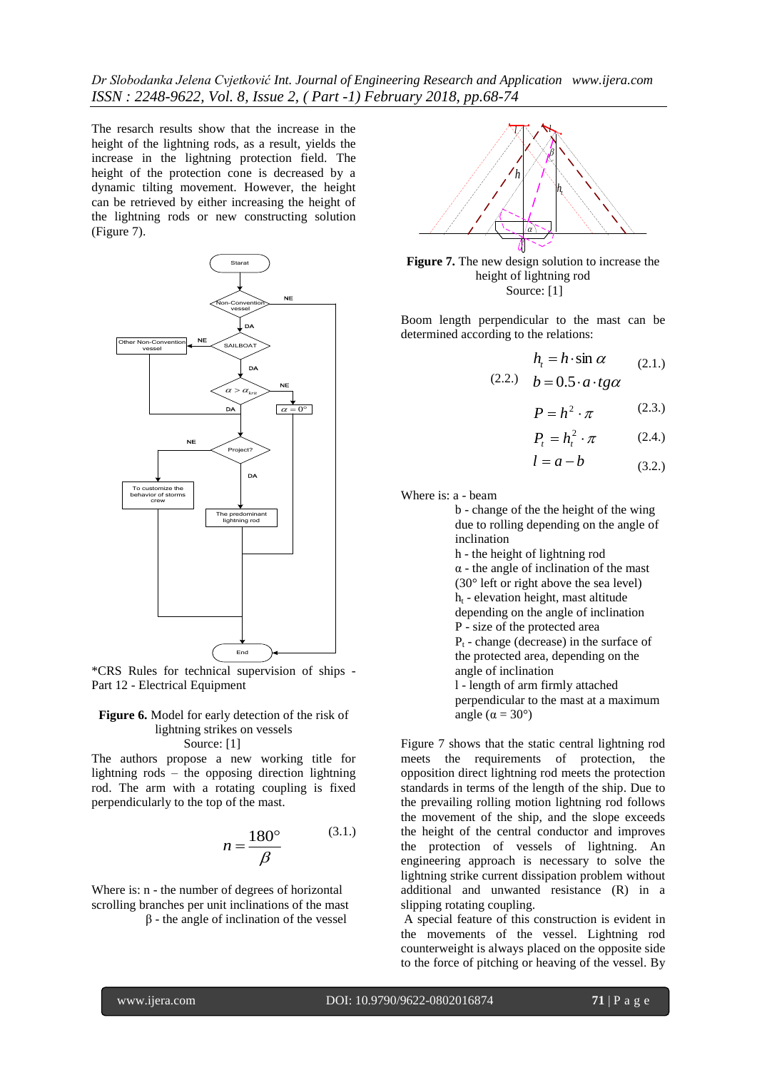*Dr Slobodanka Jelena Cvjetković Int. Journal of Engineering Research and Application www.ijera.com ISSN : 2248-9622, Vol. 8, Issue 2, ( Part -1) February 2018, pp.68-74*

The resarch results show that the increase in the height of the lightning rods, as a result, yields the increase in the lightning protection field. The height of the protection cone is decreased by a dynamic tilting movement. However, the height can be retrieved by either increasing the height of the lightning rods or new constructing solution (Figure 7).



\*CRS Rules for technical supervision of ships - Part 12 - Electrical Equipment

#### **Figure 6.** Model for early detection of the risk of lightning strikes on vessels Source: [1]

The authors propose a new working title for lightning rods – the opposing direction lightning rod. The arm with a rotating coupling is fixed perpendicularly to the top of the mast.

$$
n = \frac{180^{\circ}}{\beta} \tag{3.1.}
$$

Where is: n - the number of degrees of horizontal scrolling branches per unit inclinations of the mast β - the angle of inclination of the vessel



**Figure 7.** The new design solution to increase the height of lightning rod Source: [1]

Boom length perpendicular to the mast can be determined according to the relations:

$$
h_t = h \cdot \sin \alpha \qquad (2.1.)
$$
  
(2.2.) 
$$
b = 0.5 \cdot a \cdot tg\alpha
$$

$$
P = h^2 \cdot \pi \tag{2.3.}
$$

$$
P_t = h_t^2 \cdot \pi \tag{2.4.}
$$

$$
l = a - b \tag{3.2.}
$$

Where is: a - beam

b - change of the the height of the wing due to rolling depending on the angle of inclination

h - the height of lightning rod

 $\alpha$  - the angle of inclination of the mast

(30° left or right above the sea level)

 $h_t$  - elevation height, mast altitude depending on the angle of inclination

P - size of the protected area

 $P_t$  - change (decrease) in the surface of the protected area, depending on the

angle of inclination

l - length of arm firmly attached perpendicular to the mast at a maximum angle ( $\alpha = 30^{\circ}$ )

 $n = \frac{180^{\circ}}{\beta}$  (3.1.) the height of the central conductor and impro<br>
the protection of vessels of lightning.<br>
engineering approach is necessary to solve<br>
lightning strike current dissipation problem with<br>
diditional an Figure 7 shows that the static central lightning rod meets the requirements of protection, the opposition direct lightning rod meets the protection standards in terms of the length of the ship. Due to the prevailing rolling motion lightning rod follows the movement of the ship, and the slope exceeds the height of the central conductor and improves the protection of vessels of lightning. An engineering approach is necessary to solve the lightning strike current dissipation problem without additional and unwanted resistance (R) in a slipping rotating coupling.

A special feature of this construction is evident in the movements of the vessel. Lightning rod counterweight is always placed on the opposite side to the force of pitching or heaving of the vessel. By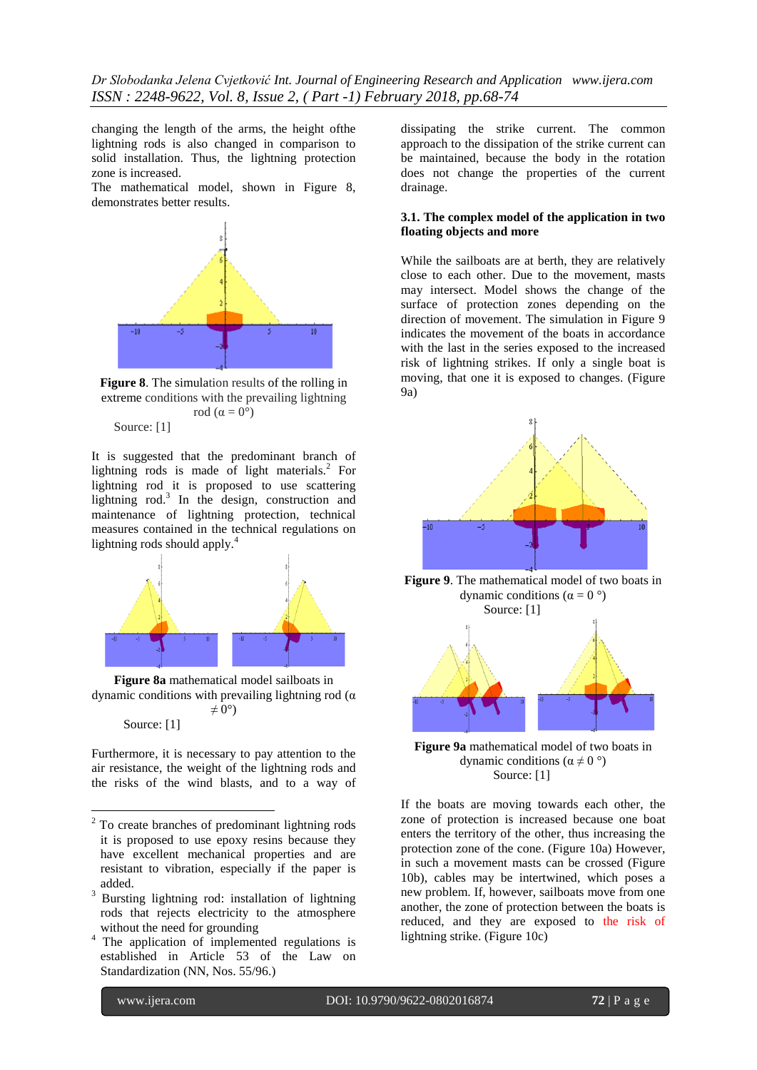changing the length of the arms, the height ofthe lightning rods is also changed in comparison to solid installation. Thus, the lightning protection zone is increased.

The mathematical model, shown in Figure 8, demonstrates better results.



**Figure 8**. The simulation results of the rolling in extreme conditions with the prevailing lightning rod  $(\alpha = 0^{\circ})$ 

Source: [1]

It is suggested that the predominant branch of lightning rods is made of light materials. 2 For lightning rod it is proposed to use scattering lightning rod. 3 In the design, construction and maintenance of lightning protection, technical measures contained in the technical regulations on lightning rods should apply. 4



**Figure 8a** mathematical model sailboats in dynamic conditions with prevailing lightning rod (α  $\neq$  0°) Source: [1]

Furthermore, it is necessary to pay attention to the air resistance, the weight of the lightning rods and the risks of the wind blasts, and to a way of

dissipating the strike current. The common approach to the dissipation of the strike current can be maintained, because the body in the rotation does not change the properties of the current drainage.

#### **3.1. The complex model of the application in two floating objects and more**

While the sailboats are at berth, they are relatively close to each other. Due to the movement, masts may intersect. Model shows the change of the surface of protection zones depending on the direction of movement. The simulation in Figure 9 indicates the movement of the boats in accordance with the last in the series exposed to the increased risk of lightning strikes. If only a single boat is moving, that one it is exposed to changes. (Figure 9a)



**Figure 9**. The mathematical model of two boats in dynamic conditions ( $α = 0°$ )



**Figure 9a** mathematical model of two boats in dynamic conditions ( $\alpha \neq 0^{\circ}$ ) Source: [1]

If the boats are moving towards each other, the zone of protection is increased because one boat enters the territory of the other, thus increasing the protection zone of the cone. (Figure 10a) However, in such a movement masts can be crossed (Figure 10b), cables may be intertwined, which poses a new problem. If, however, sailboats move from one another, the zone of protection between the boats is reduced, and they are exposed to the risk of lightning strike. (Figure 10c)

<u>.</u>

<sup>2</sup> To create branches of predominant lightning rods it is proposed to use epoxy resins because they have excellent mechanical properties and are resistant to vibration, especially if the paper is added.

<sup>&</sup>lt;sup>3</sup> Bursting lightning rod: installation of lightning rods that rejects electricity to the atmosphere without the need for grounding

<sup>&</sup>lt;sup>4</sup> The application of implemented regulations is established in Article 53 of the Law on Standardization (NN, Nos. 55/96.)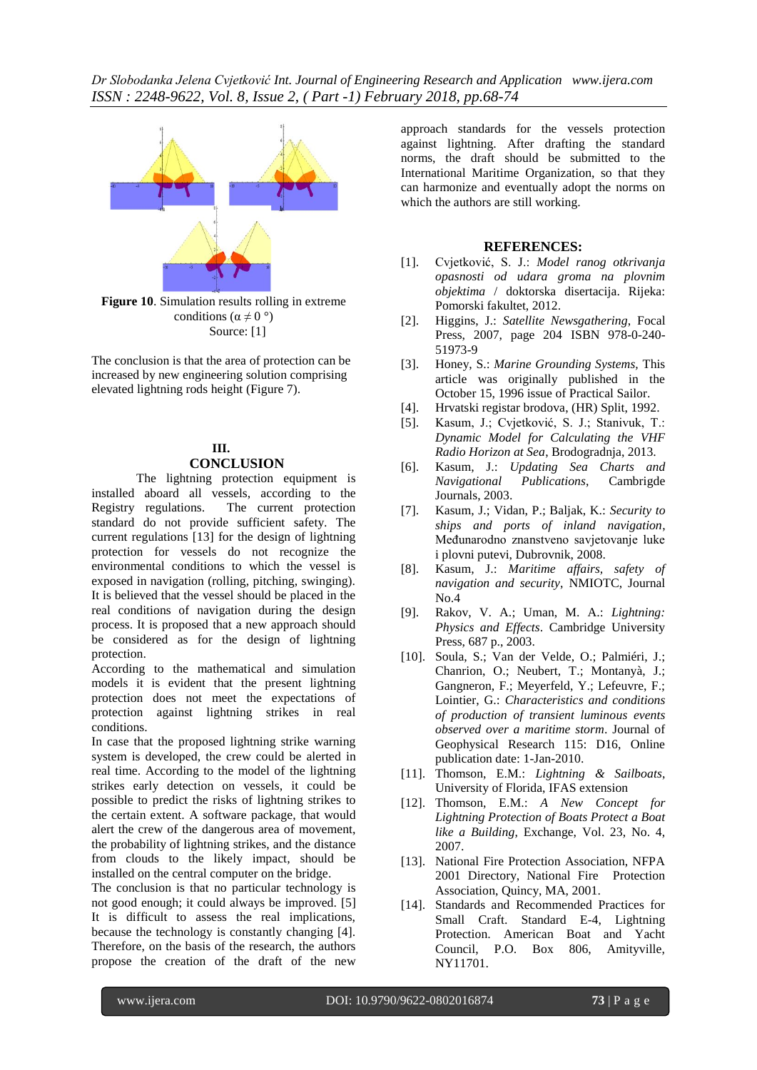

**Figure 10**. Simulation results rolling in extreme conditions ( $\alpha \neq 0^{\circ}$ ) Source: [1]

The conclusion is that the area of protection can be increased by new engineering solution comprising elevated lightning rods height (Figure 7).

#### **III. CONCLUSION**

The lightning protection equipment is installed aboard all vessels, according to the Registry regulations. The current protection The current protection standard do not provide sufficient safety. The current regulations [13] for the design of lightning protection for vessels do not recognize the environmental conditions to which the vessel is exposed in navigation (rolling, pitching, swinging). It is believed that the vessel should be placed in the real conditions of navigation during the design process. It is proposed that a new approach should be considered as for the design of lightning protection.

According to the mathematical and simulation models it is evident that the present lightning protection does not meet the expectations of protection against lightning strikes in real conditions.

In case that the proposed lightning strike warning system is developed, the crew could be alerted in real time. According to the model of the lightning strikes early detection on vessels, it could be possible to predict the risks of lightning strikes to the certain extent. A software package, that would alert the crew of the dangerous area of movement, the probability of lightning strikes, and the distance from clouds to the likely impact, should be installed on the central computer on the bridge.

The conclusion is that no particular technology is not good enough; it could always be improved. [5] It is difficult to assess the real implications, because the technology is constantly changing [4]. Therefore, on the basis of the research, the authors propose the creation of the draft of the new

approach standards for the vessels protection against lightning. After drafting the standard norms, the draft should be submitted to the International Maritime Organization, so that they can harmonize and eventually adopt the norms on which the authors are still working.

## **REFERENCES:**

- [1]. Cvjetković, S. J.: *Model ranog otkrivanja opasnosti od udara groma na plovnim objektima* / doktorska disertacija. Rijeka: Pomorski fakultet, 2012.
- [2]. Higgins, J.: *Satellite Newsgathering*, Focal Press, 2007, page 204 [ISBN 978-0-240-](http://en.wikipedia.org/wiki/Special:BookSources/9780240519739) [51973-9](http://en.wikipedia.org/wiki/Special:BookSources/9780240519739)
- [3]. Honey, S.: *Marine Grounding Systems,* This article was originally published in the October 15, 1996 issue of Practical Sailor.
- [4]. Hrvatski registar brodova, (HR) Split, 1992.
- [5]. Kasum, J.; Cvjetković, S. J.; Stanivuk, T.: *Dynamic Model for Calculating the VHF Radio Horizon at Sea*, Brodogradnja, 2013.
- [6]. Kasum, J.: *Updating Sea Charts and Navigational Publications*, Cambrigde Journals, 2003.
- [7]. Kasum, J.; Vidan, P.; Baljak, K.: *Security to ships and ports of inland navigation*, Međunarodno znanstveno savjetovanje luke i plovni putevi, Dubrovnik, 2008.
- [8]. Kasum, J.: *Maritime affairs, safety of navigation and security*, NMIOTC, Journal  $N<sub>0</sub>$  4
- [9]. Rakov, V. A.; Uman, M. A.: *Lightning: Physics and Effects*. Cambridge University Press, 687 p., 2003.
- [10]. Soula, S.; Van der Velde, O.; Palmiéri, J.; Chanrion, O.; Neubert, T.; Montanyà, J.; Gangneron, F.; Meyerfeld, Y.; Lefeuvre, F.; Lointier, G.: *Characteristics and conditions of production of transient luminous events observed over a maritime storm*. Journal of Geophysical Research 115: D16, Online publication date: 1-Jan-2010.
- [11]. Thomson, E.M.: *Lightning & Sailboats*, University of Florida, IFAS extension
- [12]. Thomson, E.M.: *A New Concept for Lightning Protection of Boats Protect a Boat like a Building*, Exchange, Vol. 23, No. 4, 2007.
- [13]. National Fire Protection Association, NFPA 2001 Directory, National Fire Protection Association, Quincy, MA, 2001.
- [14]. Standards and Recommended Practices for Small Craft. Standard E-4, Lightning Protection. American Boat and Yacht Council, P.O. Box 806, Amityville, NY11701.